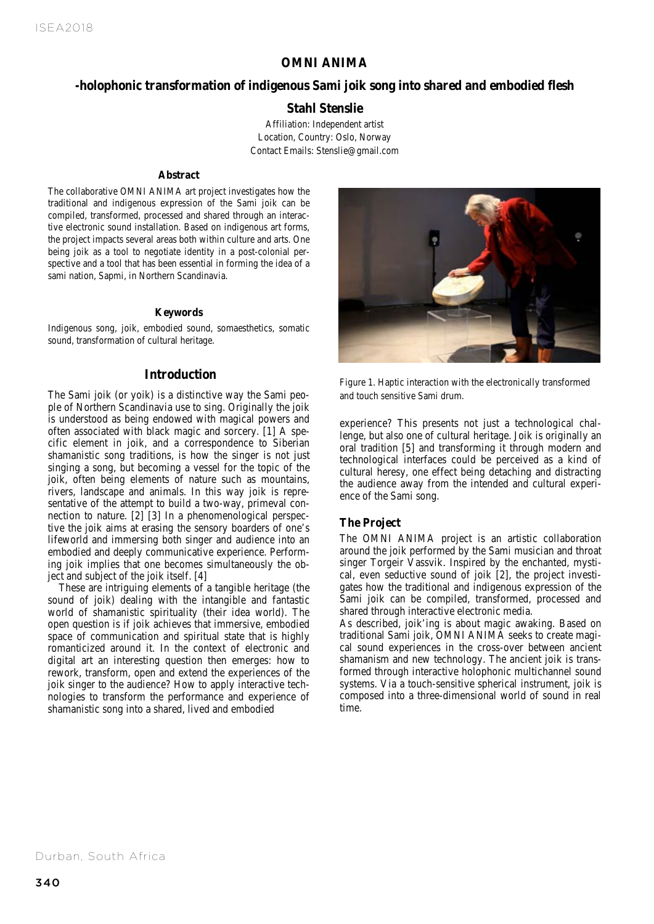# **OMNI ANIMA**

# *OMNI ANIMA -holophonic transformation of indigenous Sami joik song into*  **-holophonic transformation of indigenous Sami joik song into shared and embodied flesh**

# *shared and embodied flesh.* Stahl Stenslie **Stahl Stenslie**

Affiliation: Independent artist Location, Country: Oslo, Norway Contact Emails: Stenslie@gmail.com

#### **Abstract**

The collaborative OMNI ANIMA art project investigates how the traditional and indigenous expression of the Sami joik can be compiled, transformed, processed and shared through an interactive electronic sound installation. Based on indigenous art forms, the project impacts several areas both within culture and arts. One being joik as a tool to negotiate identity in a post-colonial perspective and a tool that has been essential in forming the idea of a sami nation, Sapmi, in Northern Scandinavia.

#### **Keywords**

Indigenous song, joik, embodied sound, somaesthetics, somatic sound, transformation of cultural heritage.

#### **Introduction**

The Sami joik (or yoik) is a distinctive way the Sami people of Northern Scandinavia use to sing. Originally the joik is understood as being endowed with magical powers and often associated with black magic and sorcery. [1] A specific element in joik, and a correspondence to Siberian shamanistic song traditions, is how the singer is not just singing a song, but becoming a vessel for the topic of the joik, often being elements of nature such as mountains, rivers, landscape and animals. In this way joik is representative of the attempt to build a two-way, primeval connection to nature. [2] [3] In a phenomenological perspective the joik aims at erasing the sensory boarders of one's lifeworld and immersing both singer and audience into an embodied and deeply communicative experience. Performing joik implies that one becomes simultaneously the object and subject of the joik itself. [4]

These are intriguing elements of a tangible heritage (the sound of joik) dealing with the intangible and fantastic world of shamanistic spirituality (their idea world). The open question is if joik achieves that immersive, embodied space of communication and spiritual state that is highly romanticized around it. In the context of electronic and digital art an interesting question then emerges: how to rework, transform, open and extend the experiences of the joik singer to the audience? How to apply interactive technologies to transform the performance and experience of shamanistic song into a shared, lived and embodied



Figure 1. Haptic interaction with the electronically transformed and touch sensitive Sami drum.

experience? This presents not just a technological challenge, but also one of cultural heritage. Joik is originally an oral tradition [5] and transforming it through modern and technological interfaces could be perceived as a kind of cultural heresy, one effect being detaching and distracting the audience away from the intended and cultural experience of the Sami song.

#### **The Project**

The OMNI ANIMA project is an artistic collaboration around the joik performed by the Sami musician and throat singer Torgeir Vassvik. Inspired by the enchanted, mystical, even seductive sound of joik [2], the project investigates how the traditional and indigenous expression of the Sami joik can be compiled, transformed, processed and shared through interactive electronic media.

As described, joik'ing is about magic awaking. Based on traditional Sami joik, OMNI ANIMA seeks to create magical sound experiences in the cross-over between ancient shamanism and new technology. The ancient joik is transformed through interactive holophonic multichannel sound systems. Via a touch-sensitive spherical instrument, joik is composed into a three-dimensional world of sound in real time.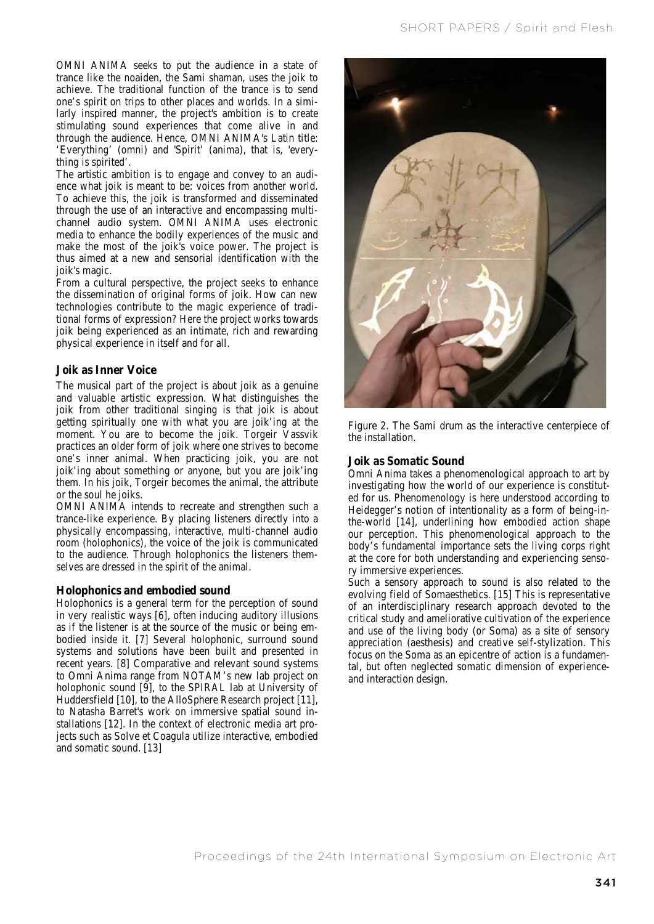OMNI ANIMA seeks to put the audience in a state of trance like the noaiden, the Sami shaman, uses the joik to achieve. The traditional function of the trance is to send one's spirit on trips to other places and worlds. In a similarly inspired manner, the project's ambition is to create stimulating sound experiences that come alive in and through the audience. Hence, OMNI ANIMA's Latin title: 'Everything' (omni) and 'Spirit' (anima), that is, 'everything is spirited'.

The artistic ambition is to engage and convey to an audience what joik is meant to be: voices from another world. To achieve this, the joik is transformed and disseminated through the use of an interactive and encompassing multichannel audio system. OMNI ANIMA uses electronic media to enhance the bodily experiences of the music and make the most of the joik's voice power. The project is thus aimed at a new and sensorial identification with the joik's magic.

From a cultural perspective, the project seeks to enhance the dissemination of original forms of joik. How can new technologies contribute to the magic experience of traditional forms of expression? Here the project works towards joik being experienced as an intimate, rich and rewarding physical experience in itself and for all.

# **Joik as Inner Voice**

The musical part of the project is about joik as a genuine and valuable artistic expression. What distinguishes the joik from other traditional singing is that joik is about getting spiritually one with what you are joik'ing at the moment. You are to become the joik. Torgeir Vassvik practices an older form of joik where one strives to become one's inner animal. When practicing joik, you are not joik'ing about something or anyone, but you are joik'ing them. In his joik, Torgeir becomes the animal, the attribute or the soul he joiks.

OMNI ANIMA intends to recreate and strengthen such a trance-like experience. By placing listeners directly into a physically encompassing, interactive, multi-channel audio room (holophonics), the voice of the joik is communicated to the audience. Through holophonics the listeners themselves are dressed in the spirit of the animal.

#### **Holophonics and embodied sound**

Holophonics is a general term for the perception of sound in very realistic ways [6], often inducing auditory illusions as if the listener is at the source of the music or being embodied inside it. [7] Several holophonic, surround sound systems and solutions have been built and presented in recent years. [8] Comparative and relevant sound systems to Omni Anima range from NOTAM's new lab project on holophonic sound [9], to the SPIRAL lab at University of Huddersfield [10], to the AlloSphere Research project [11], to Natasha Barret's work on immersive spatial sound installations [12]. In the context of electronic media art projects such as Solve et Coagula utilize interactive, embodied and somatic sound. [13]



Figure 2. The Sami drum as the interactive centerpiece of the installation.

### **Joik as Somatic Sound**

Omni Anima takes a phenomenological approach to art by investigating how the world of our experience is constituted for us. Phenomenology is here understood according to Heidegger's notion of intentionality as a form of being-inthe-world [14], underlining how embodied action shape our perception. This phenomenological approach to the body's fundamental importance sets the living corps right at the core for both understanding and experiencing sensory immersive experiences.

Such a sensory approach to sound is also related to the evolving field of Somaesthetics. [15] This is representative of an interdisciplinary research approach devoted to the critical study and ameliorative cultivation of the experience and use of the living body (or Soma) as a site of sensory appreciation (aesthesis) and creative self-stylization. This focus on the Soma as an epicentre of action is a fundamental, but often neglected somatic dimension of experienceand interaction design.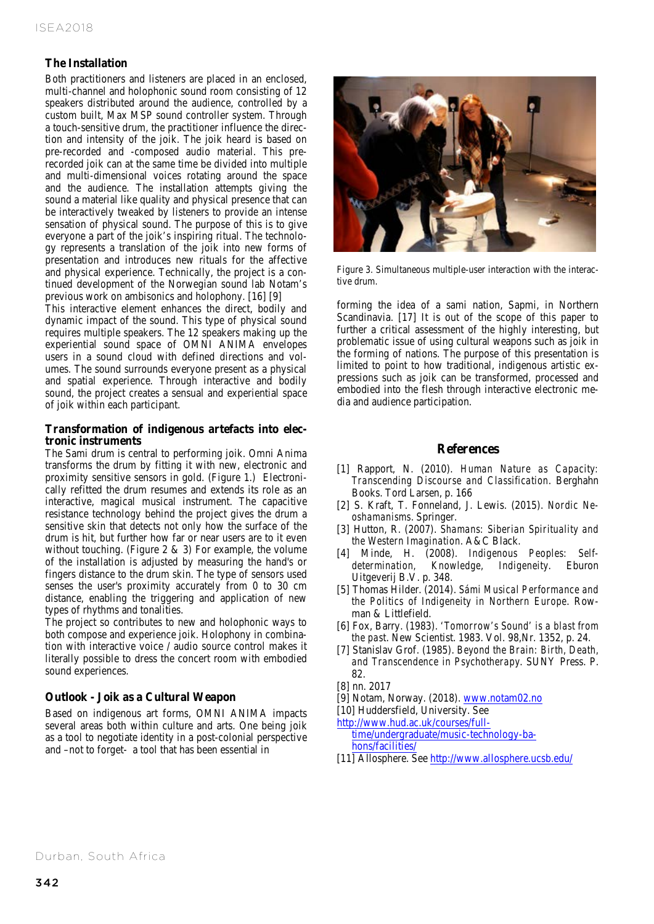# **The Installation**

Both practitioners and listeners are placed in an enclosed, multi-channel and holophonic sound room consisting of 12 speakers distributed around the audience, controlled by a custom built, Max MSP sound controller system. Through a touch-sensitive drum, the practitioner influence the direction and intensity of the joik. The joik heard is based on pre-recorded and -composed audio material. This prerecorded joik can at the same time be divided into multiple and multi-dimensional voices rotating around the space and the audience. The installation attempts giving the sound a material like quality and physical presence that can be interactively tweaked by listeners to provide an intense sensation of physical sound. The purpose of this is to give everyone a part of the joik's inspiring ritual. The technology represents a translation of the joik into new forms of presentation and introduces new rituals for the affective and physical experience. Technically, the project is a continued development of the Norwegian sound lab Notam's previous work on ambisonics and holophony. [16] [9]

This interactive element enhances the direct, bodily and dynamic impact of the sound. This type of physical sound requires multiple speakers. The 12 speakers making up the experiential sound space of OMNI ANIMA envelopes users in a sound cloud with defined directions and volumes. The sound surrounds everyone present as a physical and spatial experience. Through interactive and bodily sound, the project creates a sensual and experiential space of joik within each participant.

#### **Transformation of indigenous artefacts into electronic instruments**

The Sami drum is central to performing joik. Omni Anima transforms the drum by fitting it with new, electronic and proximity sensitive sensors in gold. (Figure 1.) Electronically refitted the drum resumes and extends its role as an interactive, magical musical instrument. The capacitive resistance technology behind the project gives the drum a sensitive skin that detects not only how the surface of the drum is hit, but further how far or near users are to it even without touching. (Figure 2  $\&$  3) For example, the volume of the installation is adjusted by measuring the hand's or fingers distance to the drum skin. The type of sensors used senses the user's proximity accurately from 0 to 30 cm distance, enabling the triggering and application of new types of rhythms and tonalities.

The project so contributes to new and holophonic ways to both compose and experience joik. Holophony in combination with interactive voice / audio source control makes it literally possible to dress the concert room with embodied sound experiences.

#### **Outlook - Joik as a Cultural Weapon**

Based on indigenous art forms, OMNI ANIMA impacts several areas both within culture and arts. One being joik as a tool to negotiate identity in a post-colonial perspective and –not to forget- a tool that has been essential in



Figure 3. Simultaneous multiple-user interaction with the interactive drum.

forming the idea of a sami nation, Sapmi, in Northern Scandinavia. [17] It is out of the scope of this paper to further a critical assessment of the highly interesting, but problematic issue of using cultural weapons such as joik in the forming of nations. The purpose of this presentation is limited to point to how traditional, indigenous artistic expressions such as joik can be transformed, processed and embodied into the flesh through interactive electronic media and audience participation.

#### **References**

- [1] Rapport, N. (2010). *Human Nature as Capacity: Transcending Discourse and Classification*. Berghahn Books. Tord Larsen, p. 166
- [2] S. Kraft, T. Fonneland, J. Lewis. (2015). *Nordic Neoshamanisms*. Springer.
- [3] Hutton, R. (2007). *Shamans: Siberian Spirituality and the Western Imagination*. A&C Black.
- [4] Minde, H. (2008). *Indigenous Peoples: Selfdetermination, Knowledge, Indigeneity*. Eburon Uitgeverij B.V. p. 348.
- [5] Thomas Hilder. (2014). *Sámi Musical Performance and the Politics of Indigeneity in Northern Europe*. Rowman & Littlefield.
- [6] Fox, Barry. (1983). *'Tomorrow's Sound' is a blast from the past*. New Scientist. 1983. Vol. 98,Nr. 1352, p. 24.
- [7] Stanislav Grof. (1985). *Beyond the Brain: Birth, Death, and Transcendence in Psychotherapy*. SUNY Press. P. 82.
- [8] nn. 2017
- [9] Notam, Norway. (2018). www.notam02.no
- [10] Huddersfield, University. See

http://www.hud.ac.uk/courses/fulltime/undergraduate/music-technology-bahons/facilities/

[11] Allosphere. See http://www.allosphere.ucsb.edu/